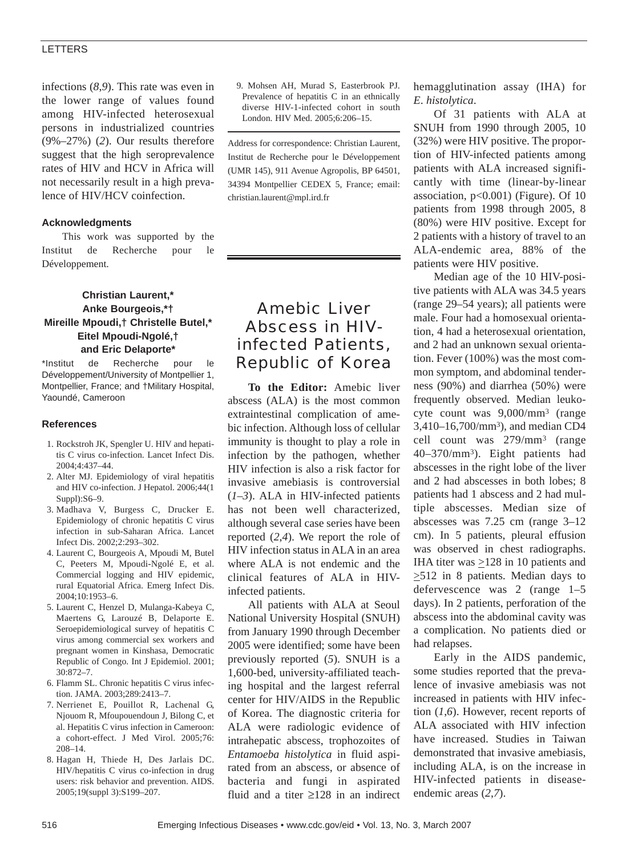# LETTERS

infections (*8*,*9*). This rate was even in the lower range of values found among HIV-infected heterosexual persons in industrialized countries (9%–27%) (*2*). Our results therefore suggest that the high seroprevalence rates of HIV and HCV in Africa will not necessarily result in a high prevalence of HIV/HCV coinfection.

## **Acknowledgments**

This work was supported by the Institut de Recherche pour le Développement.

# **Christian Laurent,\* Anke Bourgeois,\*† Mireille Mpoudi,† Christelle Butel,\* Eitel Mpoudi-Ngolé,† and Eric Delaporte\***

\*Institut de Recherche pour le Développement/University of Montpellier 1, Montpellier, France; and †Military Hospital, Yaoundé, Cameroon

#### **References**

- 1. Rockstroh JK, Spengler U. HIV and hepatitis C virus co-infection. Lancet Infect Dis. 2004;4:437–44.
- 2. Alter MJ. Epidemiology of viral hepatitis and HIV co-infection. J Hepatol. 2006;44(1 Suppl):S6–9.
- 3. Madhava V, Burgess C, Drucker E. Epidemiology of chronic hepatitis C virus infection in sub-Saharan Africa. Lancet Infect Dis. 2002;2:293–302.
- 4. Laurent C, Bourgeois A, Mpoudi M, Butel C, Peeters M, Mpoudi-Ngolé E, et al. Commercial logging and HIV epidemic, rural Equatorial Africa. Emerg Infect Dis. 2004;10:1953–6.
- 5. Laurent C, Henzel D, Mulanga-Kabeya C, Maertens G, Larouzé B, Delaporte E. Seroepidemiological survey of hepatitis C virus among commercial sex workers and pregnant women in Kinshasa, Democratic Republic of Congo. Int J Epidemiol. 2001; 30:872–7.
- 6. Flamm SL. Chronic hepatitis C virus infection. JAMA. 2003;289:2413–7.
- 7. Nerrienet E, Pouillot R, Lachenal G, Njouom R, Mfoupouendoun J, Bilong C, et al. Hepatitis C virus infection in Cameroon: a cohort-effect. J Med Virol. 2005;76: 208–14.
- 8. Hagan H, Thiede H, Des Jarlais DC. HIV/hepatitis C virus co-infection in drug users: risk behavior and prevention. AIDS. 2005;19(suppl 3):S199–207.

9. Mohsen AH, Murad S, Easterbrook PJ. Prevalence of hepatitis C in an ethnically diverse HIV-1-infected cohort in south London. HIV Med. 2005;6:206–15.

Address for correspondence: Christian Laurent, Institut de Recherche pour le Développement (UMR 145), 911 Avenue Agropolis, BP 64501, 34394 Montpellier CEDEX 5, France; email: christian.laurent@mpl.ird.fr

# Amebic Liver Abscess in HIVinfected Patients, Republic of Korea

**To the Editor:** Amebic liver abscess (ALA) is the most common extraintestinal complication of amebic infection. Although loss of cellular immunity is thought to play a role in infection by the pathogen, whether HIV infection is also a risk factor for invasive amebiasis is controversial (*1*–*3*). ALA in HIV-infected patients has not been well characterized, although several case series have been reported (*2*,*4*). We report the role of HIV infection status in ALA in an area where ALA is not endemic and the clinical features of ALA in HIVinfected patients.

All patients with ALA at Seoul National University Hospital (SNUH) from January 1990 through December 2005 were identified; some have been previously reported (*5*). SNUH is a 1,600-bed, university-affiliated teaching hospital and the largest referral center for HIV/AIDS in the Republic of Korea. The diagnostic criteria for ALA were radiologic evidence of intrahepatic abscess, trophozoites of *Entamoeba histolytica* in fluid aspirated from an abscess, or absence of bacteria and fungi in aspirated fluid and a titer ≥128 in an indirect hemagglutination assay (IHA) for *E*. *histolytica*.

Of 31 patients with ALA at SNUH from 1990 through 2005, 10 (32%) were HIV positive. The proportion of HIV-infected patients among patients with ALA increased significantly with time (linear-by-linear association,  $p<0.001$ ) (Figure). Of 10 patients from 1998 through 2005, 8 (80%) were HIV positive. Except for 2 patients with a history of travel to an ALA-endemic area, 88% of the patients were HIV positive.

Median age of the 10 HIV-positive patients with ALA was 34.5 years (range 29–54 years); all patients were male. Four had a homosexual orientation, 4 had a heterosexual orientation, and 2 had an unknown sexual orientation. Fever (100%) was the most common symptom, and abdominal tenderness (90%) and diarrhea (50%) were frequently observed. Median leukocyte count was 9,000/mm3 (range 3,410–16,700/mm3), and median CD4 cell count was 279/mm3 (range 40–370/mm3). Eight patients had abscesses in the right lobe of the liver and 2 had abscesses in both lobes; 8 patients had 1 abscess and 2 had multiple abscesses. Median size of abscesses was 7.25 cm (range 3–12 cm). In 5 patients, pleural effusion was observed in chest radiographs. IHA titer was  $\geq$ 128 in 10 patients and  $\geq$ 512 in 8 patients. Median days to defervescence was 2 (range 1–5 days). In 2 patients, perforation of the abscess into the abdominal cavity was a complication. No patients died or had relapses.

Early in the AIDS pandemic, some studies reported that the prevalence of invasive amebiasis was not increased in patients with HIV infection (*1*,*6*). However, recent reports of ALA associated with HIV infection have increased. Studies in Taiwan demonstrated that invasive amebiasis, including ALA, is on the increase in HIV-infected patients in diseaseendemic areas (*2*,*7*).